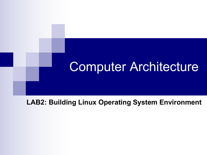## Computer Architecture

**LAB2: Building Linux Operating System Environment**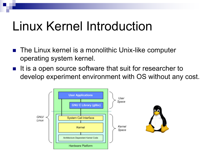# Linux Kernel Introduction

- The Linux kernel is a monolithic Unix-like computer operating system kernel.
- $\blacksquare$  It is a open source software that suit for researcher to develop experiment environment with OS without any cost.

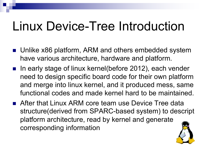# Linux Device-Tree Introduction

- Unlike x86 platform, ARM and others embedded system have various architecture, hardware and platform.
- In early stage of linux kernel(before 2012), each vender need to design specific board code for their own platform and merge into linux kernel, and it produced mess, same functional codes and made kernel hard to be maintained.
- **n** After that Linux ARM core team use Device Tree data structure(derived from SPARC-based system) to descript platform architecture, read by kernel and generate corresponding information

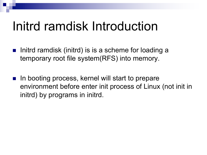## Initrd ramdisk Introduction

- Initrd ramdisk (initrd) is is a scheme for loading a temporary root file system(RFS) into memory.
- In booting process, kernel will start to prepare environment before enter init process of Linux (not init in initrd) by programs in initrd.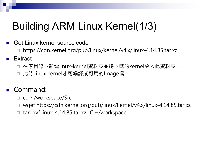## Building ARM Linux Kernel(1/3)

- Get Linux kernel source code
	- ¨ https://cdn.kernel.org/pub/linux/kernel/v4.x/linux-4.14.85.tar.xz
- **Extract** 
	- □ 在家目錄下新增linux-kernel資料夾並將下載的kernel放入此資料夾中
	- □ 此時Linux kernel才可編譯成可用的Image檔
- **Command:** 
	- $\Box$  cd ~/workspace/Src
	- □ wget https://cdn.kernel.org/pub/linux/kernel/v4.x/linux-4.14.85.tar.xz
	- $\Box$  tar -xvf linux-4.14.85.tar.xz -C ~/workspace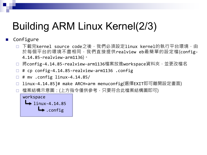### Building ARM Linux Kernel(2/3)

#### Configure

- □ 下載完kernel source code之後,我們必須設定linux kernel的執行平台環境,由 於每個平台的環境不盡相同,我們直接提供realview eb最簡單的設定檔(config-4.14.85-realview-arm1136)。
- □ 將config-4.14.85-realview-arm1136檔案放進workspace資料夾,並更改檔名
- $\Box$  # cp config-4.14.85-realview-arm1136 .config
- $\Box$  # mv .config linux-4.14.85/
- □ linux-4.14.85]# make ARCH=arm menuconfig(選擇EXIT即可離開設定畫面)
- □ 檔案結構示意圖:(上方指令僅供參考,只要符合此檔案結構圖即可)

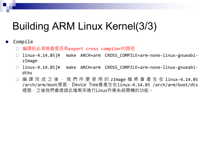### Building ARM Linux Kernel(3/3)

#### Compile

- □ 編譯前必須檢查是否有export cross compiler的路徑
- □ linux-4.14.85]# make ARCH=arm CROSS COMPILE=arm-none-linux-gnueabizImage
- □ linux-4.14.85]# make ARCH=arm CROSS COMPILE=arm-none-linux-gnueabidths
- □ 編 譯 完 成 之 後 , 我 們 所 要 使 用 的 zImage 檔 將 會 產 生 在 1inux-4.14.85 /arch/arm/boot裡面、Device Tree會產生在linux-4.14.85 /arch/arm/boot/dts 裡面,之後我們會透過此檔案來進行Linux作業系統開機的功能。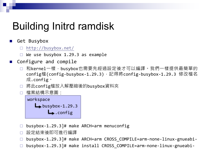### Building Initrd ramdisk

#### Get Busybox

- $\Box$  <http://busybox.net/>
- $\Box$  We use busybox 1.29.3 as example
- **n** Configure and compile
	- □ 和kernel一樣, busybox也需要先經過設定後才可以編譯。我們一樣提供最簡單的 config檔(config-busybox-1.29.3),記得將config-busybox-1.29.3 修改檔名 成.config。
	- □ 將此config檔放入解壓縮後的busybox資料夾
	- □ 檔案結構示意圖:



- □ busybox-1.29.3]# make ARCH=arm menuconfig
- □ 設定結束後即可進行編譯
- ¨ busybox-1.29.3]# make ARCH=arm CROSS\_COMPILE=arm-none-linux-gnueabi-
- □ busybox-1.29.3]# make install CROSS COMPILE=arm-none-linux-gnueabi-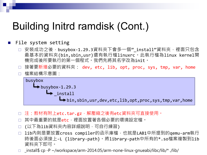### Building Initrd ramdisk (Cont.)

#### **n** File system setting

- □ 安裝成功之後, busybox-1.29.3資料夾下會多一個"\_install"資料夾,裡面只包含 最基本的資料夾(bin,sbin,usr)還有執行檔linuxrc。此執行檔為linux kernel開 機完成後所要執行的第一個程式。我們先將其名字改為init。
- □ 接著要新增必要的資料夾: dev, etc, lib, opt, proc, sys, tmp, var, home □ 檔案結構示意圖:

### busybox  $\rightarrow$  busybox-1.29.3  $ightharpoonup$  install  $\rightarrow$  bin,sbin,usr,dev,etc,lib,opt,proc,sys,tmp,var,home

- □ 注:教材有附上etc.tar.gz,解壓縮之後有etc資料夾可直接使用。
- 其中最重要的就是etc,裡面放置著各個必要的環境設定檔。
- □ (以下為lib資料夾內容詳細說明,可自行練習)
- □ lib内則是要放置cross compiler的函示庫檔,也就是LAB1中所提到的qemu-arm執行 時後面必須接上-L {library-path}。將library-path中所有的\*.so檔案複製到lib 資料夾下即可。
- $\Box$  \_install\$ cp -P ~/workspace/arm-2014.05/arm-none-linux-gnueabi/libc/lib/\* ./lib/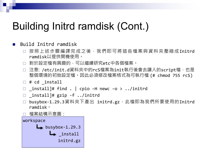### Building Initrd ramdisk (Cont.)

#### ■ Build Initrd ramdisk

- □ 按照上述步驟編譯完成之後,我們即可將這些檔案與資料夾壓縮成Initrd ramdisk以提供開機使用。
- □ 對於設定檔有興趣的,可以繼續研究etc中各個檔案。
- □ 注意: /etc/init.d資料夾中的rcS檔案為init執行後會去讀入的script檔,也是 整個環境的初始設定檔。因此必須修改檔案格式為可執行檔 (# chmod 755 rcS)
- $\Box$  # cd install
- $\Box$  \_install]# find . | cpio -H newc -o > ../initrd
- $\Box$  \_install]# gzip -f ../initrd
- □ busybox-1.29.3資料夾下產出 initrd.gz,此檔即為我們所要使用的Initrd ramdisk。

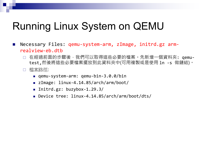### Running Linux System on QEMU

- n Necessary Files: qemu-system-arm, zImage, initrd.gz armrealview-eb.dtb
	- □ 在經過前面的步驟後,我們可以取得這些必要的檔案。先新增一個資料夾: qemutest,然後將這些必要檔案擺放到此資料夾中(可用複製或是使用 ln -s 做鏈結)。
	- ¨ 檔案路徑:
		- qemu-system-arm: qemu-bin-3.0.0/bin
		- zImage: linux-4.14.85/arch/arm/boot/
		- Initrd.gz: buzybox-1.29.3/
		- Device tree: linux-4.14.85/arch/arm/boot/dts/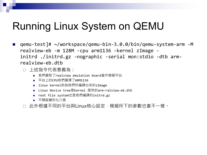### Running Linux System on QEMU

- qemu-test]# ~/workspace/qemu-bin-3.0.0/bin/qemu-system-arm -M realview-eb -m 128M -cpu arm1136 -kernel zImage initrd ./initrd.gz -nographic -serial mon:stdio -dtb armrealview-eb.dtb
	- □ 上述指令代表意義為:
		- 我們選取了realview emulation board當作模擬平台
		- 平台上的CPU我們選擇了ARM1136
		- linux kernel則為我們所編譯出來的zImage
		- Linux Device tree是Kernel 提供的arm-ralview-eb.dtb
		- root file system也是我們編譯的initrd.gz
		- <sup>n</sup> 不開啟圖形化介面
	- □ 此外根據不同的平台與Linux核心設定,模擬所下的參數也會不一樣。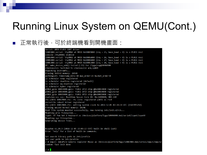### Running Linux System on QEMU(Cont.)

#### ■ 正常執行後,可於終端機看到開機畫面:

#### Serial: AMBA PL011 UART driver

10009000.serial: ttyAMA0 at MMIO 0x10009000 (irq = 25, base baud = 0) is a PL011 rev1 console [ttyAMA0] enabled 1000a000.serial: ttyAMA1 at MMIO 0x1000a000 (irq = 26, base baud = 0) is a PL011 rev1 1000b000.serial: ttyAMA2 at MMIO 0x1000b000 (irq = 27, base baud = 0) is a PL011 rev1 1000c000.serial: ttyAMA3 at MMIO 0x1000c000 (irq = 28, base baud = 0) is a PL011 rev1 OF: amba device add() failed (-19) for /fpga/ssp@1000d000 clocksource: Switched to clocksource arm.sp804 Unpacking initramfs... Freeing initrd memory: 2656K workingset: timestamp bits=30 max order=15 bucket order=0 io scheduler noop registered io scheduler deadline registered (default) io scheduler mg-deadline registered io scheduler kyber registered p1061 gpio 10013000.gpio: PL061 GPIO chip @0x10013000 registered p1061 gpio 10014000.gpio: PL061 GPIO chip @0x10014000 registered p1061 gpio 10015000.gpio: PL061 GPIO chip @0x10015000 registered realview-soc soc: RealView Syscon Core ID: 0xc1400400, HBI-140 rtc-p1031 10017000.rtc: rtc core: registered p1031 as rtc0 versatile reboot driver registered rtc-p1031 10017000.rtc: setting system clock to 2018-12-05 07:34:14 UTC (1543995254) Freeing unused kernel memory: 1024K Root file system mounted successfully, now running /etc/init.d/rcS... Mounting proc filesystem... input: AT Raw Set 2 keyboard as /devices/platform/fpga/10006000.kmi/serio0/input/input0 Mounting sys filesystem... Generating device files...

BusyBox v1.29.3 (2018-12-05 15:09:13 CST) built-in shell (ash) Enter 'help' for a list of built-in commands.

Set search library path in /etc/profile Set user path in /etc/profile / # input: ImExPS/2 Generic Explorer Mouse as /devices/platform/fpga/10007000.kmi/serio1/input/input2 random: fast init done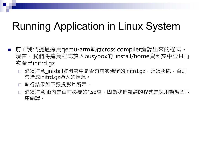### Running Application in Linux System

- n 前面我們提過採用qemu-arm執行cross compiler編譯出來的程式。 現在,我們將這隻程式放入busybox的\_install/home資料夾中並且再 次產出initrd.gz
	- 必須注意\_inistall資料夾中是否有前次殘留的initrd.gz,必須移除,否則 會造成initrd.gz過大的情況。
	- 執行結果如下張投影片所示。
	- □ 必須注意lib内是否有必要的\*.so檔,因為我們編譯的程式是採用動態函示 庫編譯。